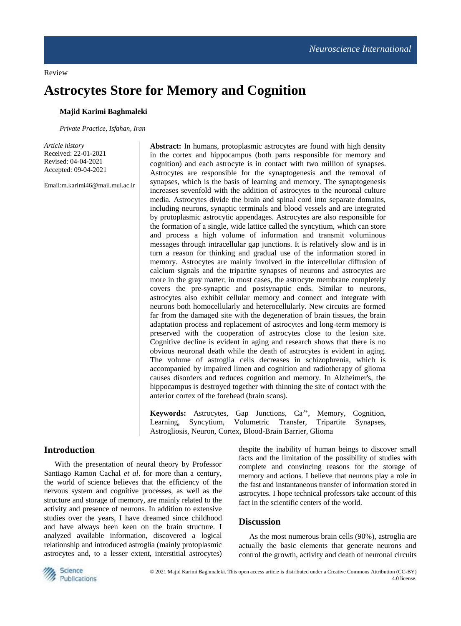Review

# **Astrocytes Store for Memory and Cognition**

## **Majid Karimi Baghmaleki**

*Private Practice, Isfahan, Iran*

*Article history* Received: 22-01-2021 Revised: 04-04-2021 Accepted: 09-04-2021

Email:m.karimi46@mail.mui.ac.ir

**Abstract:** In humans, protoplasmic astrocytes are found with high density in the cortex and hippocampus (both parts responsible for memory and cognition) and each astrocyte is in contact with two million of synapses. Astrocytes are responsible for the synaptogenesis and the removal of synapses, which is the basis of learning and memory. The synaptogenesis increases sevenfold with the addition of astrocytes to the neuronal culture media. Astrocytes divide the brain and spinal cord into separate domains, including neurons, synaptic terminals and blood vessels and are integrated by protoplasmic astrocytic appendages. Astrocytes are also responsible for the formation of a single, wide lattice called the syncytium, which can store and process a high volume of information and transmit voluminous messages through intracellular gap junctions. It is relatively slow and is in turn a reason for thinking and gradual use of the information stored in memory. Astrocytes are mainly involved in the intercellular diffusion of calcium signals and the tripartite synapses of neurons and astrocytes are more in the gray matter; in most cases, the astrocyte membrane completely covers the pre-synaptic and postsynaptic ends. Similar to neurons, astrocytes also exhibit cellular memory and connect and integrate with neurons both homocellularly and heterocellularly. New circuits are formed far from the damaged site with the degeneration of brain tissues, the brain adaptation process and replacement of astrocytes and long-term memory is preserved with the cooperation of astrocytes close to the lesion site. Cognitive decline is evident in aging and research shows that there is no obvious neuronal death while the death of astrocytes is evident in aging. The volume of astroglia cells decreases in schizophrenia, which is accompanied by impaired limen and cognition and radiotherapy of glioma causes disorders and reduces cognition and memory. In Alzheimer's, the hippocampus is destroyed together with thinning the site of contact with the anterior cortex of the forehead (brain scans).

**Keywords:** Astrocytes, Gap Junctions, Ca2+, Memory, Cognition, Learning, Syncytium, Volumetric Transfer, Tripartite Synapses, Astrogliosis, Neuron, Cortex, Blood-Brain Barrier, Glioma

## **Introduction**

With the presentation of neural theory by Professor Santiago Ramon Cachal *et al*. for more than a century, the world of science believes that the efficiency of the nervous system and cognitive processes, as well as the structure and storage of memory, are mainly related to the activity and presence of neurons. In addition to extensive studies over the years, I have dreamed since childhood and have always been keen on the brain structure. I analyzed available information, discovered a logical relationship and introduced astroglia (mainly protoplasmic astrocytes and, to a lesser extent, interstitial astrocytes) despite the inability of human beings to discover small facts and the limitation of the possibility of studies with complete and convincing reasons for the storage of memory and actions. I believe that neurons play a role in the fast and instantaneous transfer of information stored in astrocytes. I hope technical professors take account of this fact in the scientific centers of the world.

## **Discussion**

As the most numerous brain cells (90%), astroglia are actually the basic elements that generate neurons and control the growth, activity and death of neuronal circuits

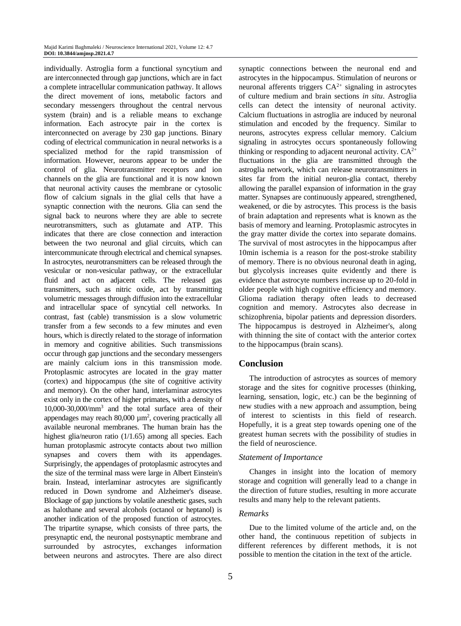individually. Astroglia form a functional syncytium and are interconnected through gap junctions, which are in fact a complete intracellular communication pathway. It allows the direct movement of ions, metabolic factors and secondary messengers throughout the central nervous system (brain) and is a reliable means to exchange information. Each astrocyte pair in the cortex is interconnected on average by 230 gap junctions. Binary coding of electrical communication in neural networks is a specialized method for the rapid transmission of information. However, neurons appear to be under the control of glia. Neurotransmitter receptors and ion channels on the glia are functional and it is now known that neuronal activity causes the membrane or cytosolic flow of calcium signals in the glial cells that have a synaptic connection with the neurons. Glia can send the signal back to neurons where they are able to secrete neurotransmitters, such as glutamate and ATP. This indicates that there are close connection and interaction between the two neuronal and glial circuits, which can intercommunicate through electrical and chemical synapses. In astrocytes, neurotransmitters can be released through the vesicular or non-vesicular pathway, or the extracellular fluid and act on adjacent cells. The released gas transmitters, such as nitric oxide, act by transmitting volumetric messages through diffusion into the extracellular and intracellular space of syncytial cell networks. In contrast, fast (cable) transmission is a slow volumetric transfer from a few seconds to a few minutes and even hours, which is directly related to the storage of information in memory and cognitive abilities. Such transmissions occur through gap junctions and the secondary messengers are mainly calcium ions in this transmission mode. Protoplasmic astrocytes are located in the gray matter (cortex) and hippocampus (the site of cognitive activity and memory). On the other hand, interlaminar astrocytes exist only in the cortex of higher primates, with a density of 10,000-30,000/mm<sup>3</sup> and the total surface area of their appendages may reach  $80,000 \mu m^2$ , covering practically all available neuronal membranes. The human brain has the highest glia/neuron ratio (1/1.65) among all species. Each human protoplasmic astrocyte contacts about two million synapses and covers them with its appendages. Surprisingly, the appendages of protoplasmic astrocytes and the size of the terminal mass were large in Albert Einstein's brain. Instead, interlaminar astrocytes are significantly reduced in Down syndrome and Alzheimer's disease. Blockage of gap junctions by volatile anesthetic gases, such as halothane and several alcohols (octanol or heptanol) is another indication of the proposed function of astrocytes. The tripartite synapse, which consists of three parts, the presynaptic end, the neuronal postsynaptic membrane and surrounded by astrocytes, exchanges information between neurons and astrocytes. There are also direct

synaptic connections between the neuronal end and astrocytes in the hippocampus. Stimulation of neurons or neuronal afferents triggers  $CA^{2+}$  signaling in astrocytes of culture medium and brain sections *in situ*. Astroglia cells can detect the intensity of neuronal activity. Calcium fluctuations in astroglia are induced by neuronal stimulation and encoded by the frequency. Similar to neurons, astrocytes express cellular memory. Calcium signaling in astrocytes occurs spontaneously following thinking or responding to adjacent neuronal activity.  $CA^{2+}$ fluctuations in the glia are transmitted through the astroglia network, which can release neurotransmitters in sites far from the initial neuron-glia contact, thereby allowing the parallel expansion of information in the gray matter. Synapses are continuously appeared, strengthened, weakened, or die by astrocytes. This process is the basis of brain adaptation and represents what is known as the basis of memory and learning. Protoplasmic astrocytes in the gray matter divide the cortex into separate domains. The survival of most astrocytes in the hippocampus after 10min ischemia is a reason for the post-stroke stability of memory. There is no obvious neuronal death in aging, but glycolysis increases quite evidently and there is evidence that astrocyte numbers increase up to 20-fold in older people with high cognitive efficiency and memory. Glioma radiation therapy often leads to decreased cognition and memory. Astrocytes also decrease in schizophrenia, bipolar patients and depression disorders. The hippocampus is destroyed in Alzheimer's, along with thinning the site of contact with the anterior cortex to the hippocampus (brain scans).

### **Conclusion**

The introduction of astrocytes as sources of memory storage and the sites for cognitive processes (thinking, learning, sensation, logic, etc.) can be the beginning of new studies with a new approach and assumption, being of interest to scientists in this field of research. Hopefully, it is a great step towards opening one of the greatest human secrets with the possibility of studies in the field of neuroscience.

#### *Statement of Importance*

Changes in insight into the location of memory storage and cognition will generally lead to a change in the direction of future studies, resulting in more accurate results and many help to the relevant patients.

## *Remarks*

Due to the limited volume of the article and, on the other hand, the continuous repetition of subjects in different references by different methods, it is not possible to mention the citation in the text of the article.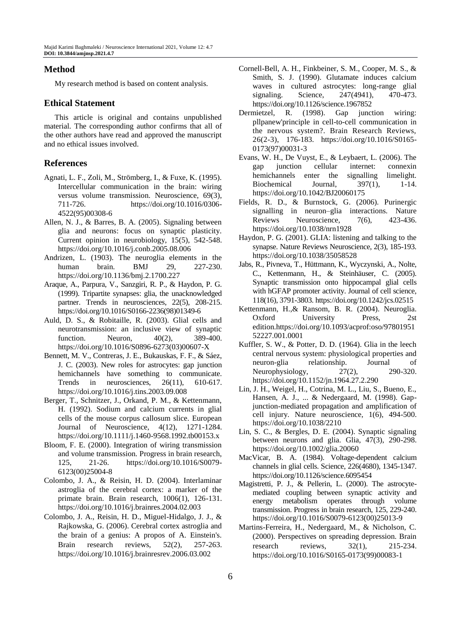## **Method**

My research method is based on content analysis.

#### **Ethical Statement**

This article is original and contains unpublished material. The corresponding author confirms that all of the other authors have read and approved the manuscript and no ethical issues involved.

## **References**

- Agnati, L. F., Zoli, M., Strömberg, I., & Fuxe, K. (1995). Intercellular communication in the brain: wiring versus volume transmission. Neuroscience, 69(3), 711-726. https://doi.org/10.1016/0306- 4522(95)00308-6
- Allen, N. J., & Barres, B. A. (2005). Signaling between glia and neurons: focus on synaptic plasticity. Current opinion in neurobiology, 15(5), 542-548. https://doi.org/10.1016/j.conb.2005.08.006
- Andrizen, L. (1903). The neuroglia elements in the human brain. BMJ 29, 227-230. https://doi.org/10.1136/bmj.2.1700.227
- Araque, A., Parpura, V., Sanzgiri, R. P., & Haydon, P. G. (1999). Tripartite synapses: glia, the unacknowledged partner. Trends in neurosciences, 22(5), 208-215. https://doi.org/10.1016/S0166-2236(98)01349-6
- Auld, D. S., & Robitaille, R. (2003). Glial cells and neurotransmission: an inclusive view of synaptic function. Neuron,  $40(2)$ , 389-400. https://doi.org/10.1016/S0896-6273(03)00607-X
- Bennett, M. V., Contreras, J. E., Bukauskas, F. F., & Sáez, J. C. (2003). New roles for astrocytes: gap junction hemichannels have something to communicate. Trends in neurosciences, 26(11), 610-617. https://doi.org/10.1016/j.tins.2003.09.008
- Berger, T., Schnitzer, J., Orkand, P. M., & Kettenmann, H. (1992). Sodium and calcium currents in glial cells of the mouse corpus callosum slice. European Journal of Neuroscience, 4(12), 1271-1284. https://doi.org/10.1111/j.1460-9568.1992.tb00153.x
- Bloom, F. E. (2000). Integration of wiring transmission and volume transmission. Progress in brain research, 125, 21-26. https://doi.org/10.1016/S0079- 6123(00)25004-8
- Colombo, J. A., & Reisin, H. D. (2004). Interlaminar astroglia of the cerebral cortex: a marker of the primate brain. Brain research, 1006(1), 126-131. https://doi.org/10.1016/j.brainres.2004.02.003
- Colombo, J. A., Reisin, H. D., Miguel-Hidalgo, J. J., & Rajkowska, G. (2006). Cerebral cortex astroglia and the brain of a genius: A propos of A. Einstein's. Brain research reviews, 52(2), 257-263. https://doi.org/10.1016/j.brainresrev.2006.03.002
- Cornell-Bell, A. H., Finkbeiner, S. M., Cooper, M. S., & Smith, S. J. (1990). Glutamate induces calcium waves in cultured astrocytes: long-range glial signaling. Science, 247(4941), 470-473. https://doi.org/10.1126/science.1967852
- Dermietzel, R. (1998). Gap junction wiring: pllpanew'principle in cell-to-cell communication in the nervous system?. Brain Research Reviews, 26(2-3), 176-183. https://doi.org/10.1016/S0165- 0173(97)00031-3
- Evans, W. H., De Vuyst, E., & Leybaert, L. (2006). The gap junction cellular internet: connexin hemichannels enter the signalling limelight. Biochemical Journal, 397(1), 1-14. https://doi.org/10.1042/BJ20060175
- Fields, R. D., & Burnstock, G. (2006). Purinergic signalling in neuron–glia interactions. Nature Reviews Neuroscience, 7(6), 423-436. https://doi.org/10.1038/nrn1928
- Haydon, P. G. (2001). GLIA: listening and talking to the synapse. Nature Reviews Neuroscience, 2(3), 185-193. https://doi.org/10.1038/35058528
- Jabs, R., Pivneva, T., Hüttmann, K., Wyczynski, A., Nolte, C., Kettenmann, H., & Steinhäuser, C. (2005). Synaptic transmission onto hippocampal glial cells with hGFAP promoter activity. Journal of cell science, 118(16), 3791-3803. https://doi.org/10.1242/jcs.02515
- Kettenmann, H.,& Ransom, B. R. (2004). Neuroglia. Oxford University Press, 2st edition.https://doi.org/10.1093/acprof:oso/97801951 52227.001.0001
- Kuffler, S. W., & Potter, D. D. (1964). Glia in the leech central nervous system: physiological properties and neuron-glia relationship. Journal of Neurophysiology, 27(2), 290-320. https://doi.org/10.1152/jn.1964.27.2.290
- Lin, J. H., Weigel, H., Cotrina, M. L., Liu, S., Bueno, E., Hansen, A. J., ... & Nedergaard, M. (1998). Gapjunction-mediated propagation and amplification of cell injury. Nature neuroscience, 1(6), 494-500. https://doi.org/10.1038/2210
- Lin, S. C., & Bergles, D. E. (2004). Synaptic signaling between neurons and glia. Glia, 47(3), 290-298. https://doi.org/10.1002/glia.20060
- MacVicar, B. A. (1984). Voltage-dependent calcium channels in glial cells. Science, 226(4680), 1345-1347. https://doi.org/10.1126/science.6095454
- Magistretti, P. J., & Pellerin, L. (2000). The astrocytemediated coupling between synaptic activity and energy metabolism operates through volume transmission. Progress in brain research, 125, 229-240. https://doi.org/10.1016/S0079-6123(00)25013-9
- Martins-Ferreira, H., Nedergaard, M., & Nicholson, C. (2000). Perspectives on spreading depression. Brain research reviews, 32(1), 215-234. https://doi.org/10.1016/S0165-0173(99)00083-1